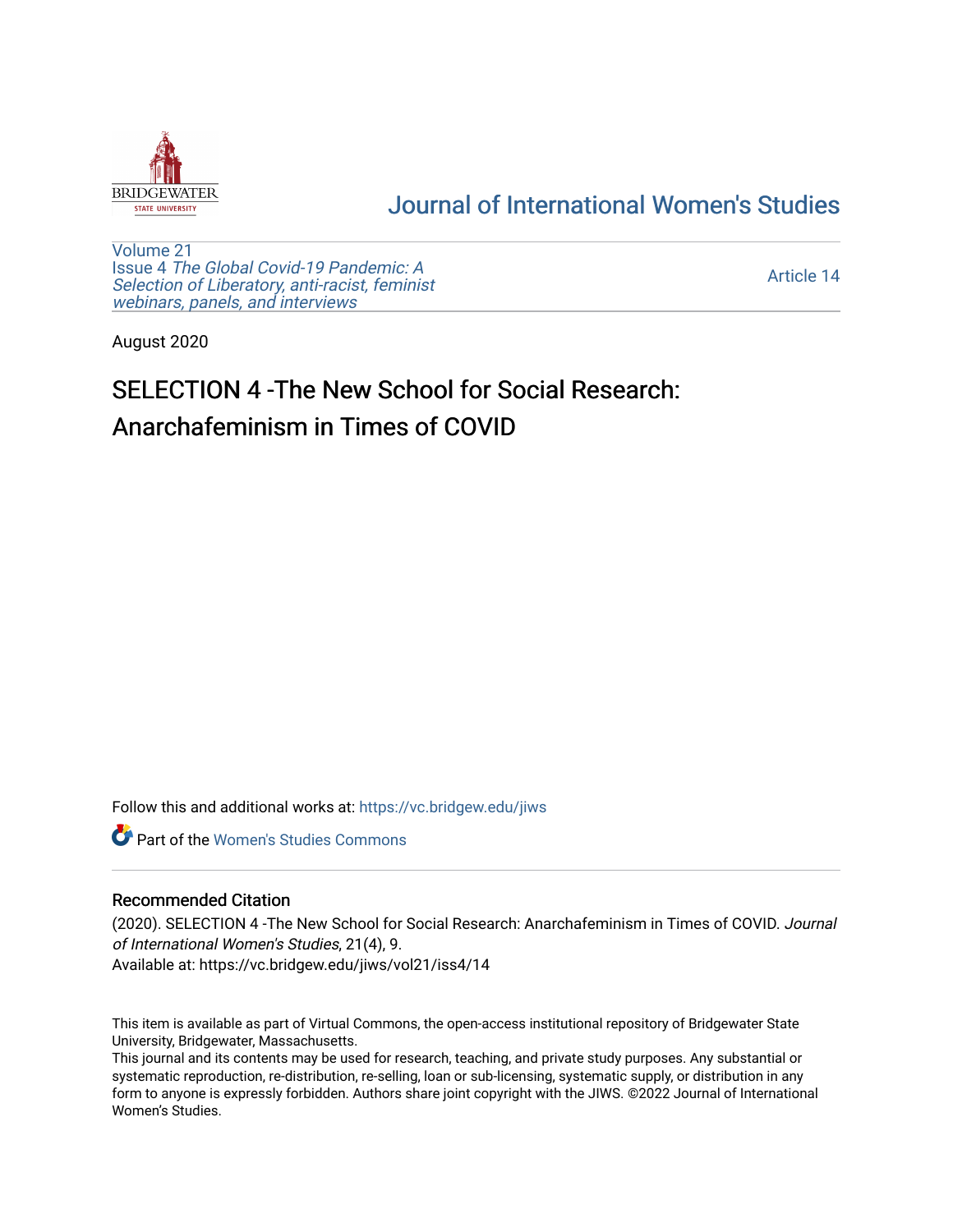

## [Journal of International Women's Studies](https://vc.bridgew.edu/jiws)

[Volume 21](https://vc.bridgew.edu/jiws/vol21) Issue 4 [The Global Covid-19 Pandemic: A](https://vc.bridgew.edu/jiws/vol21/iss4) [Selection of Liberatory, anti-racist, feminist](https://vc.bridgew.edu/jiws/vol21/iss4) [webinars, panels, and interviews](https://vc.bridgew.edu/jiws/vol21/iss4)

[Article 14](https://vc.bridgew.edu/jiws/vol21/iss4/14) 

August 2020

# SELECTION 4 -The New School for Social Research: Anarchafeminism in Times of COVID

Follow this and additional works at: [https://vc.bridgew.edu/jiws](https://vc.bridgew.edu/jiws?utm_source=vc.bridgew.edu%2Fjiws%2Fvol21%2Fiss4%2F14&utm_medium=PDF&utm_campaign=PDFCoverPages)

**C** Part of the Women's Studies Commons

#### Recommended Citation

(2020). SELECTION 4 -The New School for Social Research: Anarchafeminism in Times of COVID. Journal of International Women's Studies, 21(4), 9.

Available at: https://vc.bridgew.edu/jiws/vol21/iss4/14

This item is available as part of Virtual Commons, the open-access institutional repository of Bridgewater State University, Bridgewater, Massachusetts.

This journal and its contents may be used for research, teaching, and private study purposes. Any substantial or systematic reproduction, re-distribution, re-selling, loan or sub-licensing, systematic supply, or distribution in any form to anyone is expressly forbidden. Authors share joint copyright with the JIWS. ©2022 Journal of International Women's Studies.